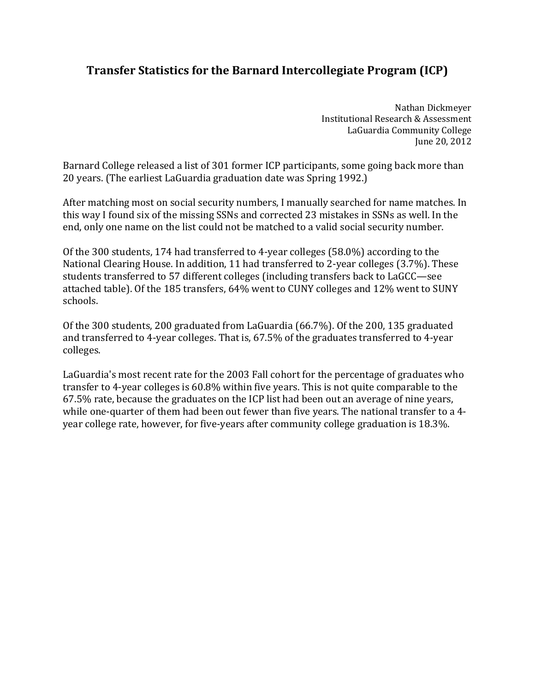## **Transfer Statistics for the Barnard Intercollegiate Program (ICP)**

LaGuardia Community College Nathan Dickmeyer Institutional Research & Assessment June 20, 2012

Barnard College released a list of 301 former ICP participants, some going back more than 20 years. (The earliest LaGuardia graduation date was Spring 1992.)

After matching most on social security numbers, I manually searched for name matches. In this way I found six of the missing SSNs and corrected 23 mistakes in SSNs as well. In the end, only one name on the list could not be matched to a valid social security number.

Of the 300 students, 174 had transferred to 4-year colleges (58.0%) according to the National Clearing House. In addition, 11 had transferred to 2-year colleges (3.7%). These students transferred to 57 different colleges (including transfers back to LaGCC—see attached table). Of the 185 transfers, 64% went to CUNY colleges and 12% went to SUNY schools. 

Of the 300 students, 200 graduated from LaGuardia  $(66.7%)$ . Of the 200, 135 graduated and transferred to 4-year colleges. That is, 67.5% of the graduates transferred to 4-year colleges. 

LaGuardia's most recent rate for the 2003 Fall cohort for the percentage of graduates who transfer to 4-year colleges is 60.8% within five years. This is not quite comparable to the 67.5% rate, because the graduates on the ICP list had been out an average of nine years, while one-quarter of them had been out fewer than five years. The national transfer to a 4year college rate, however, for five-years after community college graduation is 18.3%.